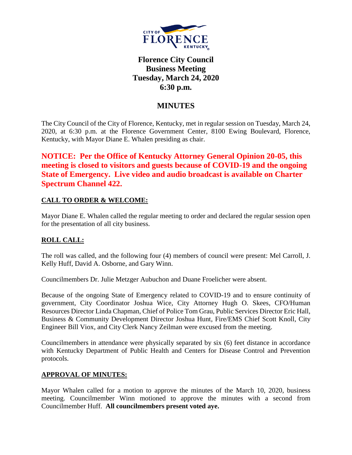

# **Florence City Council Business Meeting Tuesday, March 24, 2020 6:30 p.m.**

## **MINUTES**

The City Council of the City of Florence, Kentucky, met in regular session on Tuesday, March 24, 2020, at 6:30 p.m. at the Florence Government Center, 8100 Ewing Boulevard, Florence, Kentucky, with Mayor Diane E. Whalen presiding as chair.

**NOTICE: Per the Office of Kentucky Attorney General Opinion 20-05, this meeting is closed to visitors and guests because of COVID-19 and the ongoing State of Emergency. Live video and audio broadcast is available on Charter Spectrum Channel 422.**

### **CALL TO ORDER & WELCOME:**

Mayor Diane E. Whalen called the regular meeting to order and declared the regular session open for the presentation of all city business.

### **ROLL CALL:**

The roll was called, and the following four (4) members of council were present: Mel Carroll, J. Kelly Huff, David A. Osborne, and Gary Winn.

Councilmembers Dr. Julie Metzger Aubuchon and Duane Froelicher were absent.

Because of the ongoing State of Emergency related to COVID-19 and to ensure continuity of government, City Coordinator Joshua Wice, City Attorney Hugh O. Skees, CFO/Human Resources Director Linda Chapman, Chief of Police Tom Grau, Public Services Director Eric Hall, Business & Community Development Director Joshua Hunt, Fire/EMS Chief Scott Knoll, City Engineer Bill Viox, and City Clerk Nancy Zeilman were excused from the meeting.

Councilmembers in attendance were physically separated by six (6) feet distance in accordance with Kentucky Department of Public Health and Centers for Disease Control and Prevention protocols.

#### **APPROVAL OF MINUTES:**

Mayor Whalen called for a motion to approve the minutes of the March 10, 2020, business meeting. Councilmember Winn motioned to approve the minutes with a second from Councilmember Huff. **All councilmembers present voted aye.**